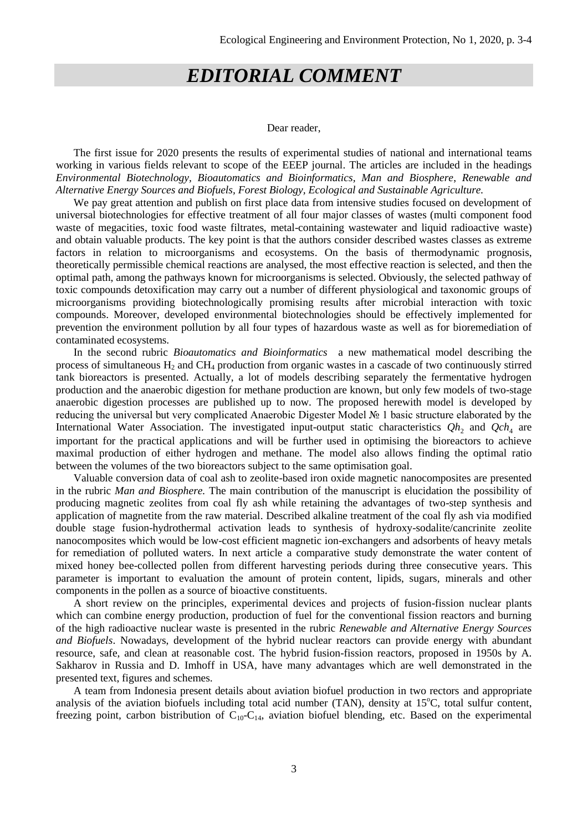## *EDITORIAL COMMENT*

## Dear reader,

The first issue for 2020 presents the results of experimental studies of national and international teams working in various fields relevant to scope of the EEEP journal. The articles are included in the headings *Environmental Biotechnology, Bioautomatics and Bioinformatics, Man and Biosphere*, *Renewable and Alternative Energy Sources and Biofuels, Forest Biology, Ecological and Sustainable Agriculture.*

We pay great attention and publish on first place data from intensive studies focused on development of universal biotechnologies for effective treatment of all four major classes of wastes (multi component food waste of megacities, toxic food waste filtrates, metal-containing wastewater and liquid radioactive waste) and obtain valuable products. The key point is that the authors consider described wastes classes as extreme factors in relation to microorganisms and ecosystems. On the basis of thermodynamic prognosis, theoretically permissible chemical reactions are analysed, the most effective reaction is selected, and then the optimal path, among the pathways known for microorganisms is selected. Obviously, the selected pathway of toxic compounds detoxification may carry out a number of different physiological and taxonomic groups of microorganisms providing biotechnologically promising results after microbial interaction with toxic compounds. Moreover, developed environmental biotechnologies should be effectively implemented for prevention the environment pollution by all four types of hazardous waste as well as for bioremediation of contaminated ecosystems.

In the second rubric *Bioautomatics and Bioinformatics* a new mathematical model describing the process of simultaneous  $H_2$  and CH<sub>4</sub> production from organic wastes in a cascade of two continuously stirred tank bioreactors is presented. Actually, a lot of models describing separately the fermentative hydrogen production and the anaerobic digestion for methane production are known, but only few models of two-stage anaerobic digestion processes are published up to now. The proposed herewith model is developed by reducing the universal but very complicated Anaerobic Digester Model № 1 basic structure elaborated by the International Water Association. The investigated input-output static characteristics  $Qh_2$  and  $Qch_4$  are important for the practical applications and will be further used in optimising the bioreactors to achieve maximal production of either hydrogen and methane. The model also allows finding the optimal ratio between the volumes of the two bioreactors subject to the same optimisation goal.

Valuable conversion data of coal ash to zeolite-based iron oxide magnetic nanocomposites are presented in the rubric *Man and Biosphere.* The main contribution of the manuscript is elucidation the possibility of producing magnetic zeolites from coal fly ash while retaining the advantages of two-step synthesis and application of magnetite from the raw material. Described alkaline treatment of the coal fly ash via modified double stage fusion-hydrothermal activation leads to synthesis of hydroxy-sodalite/cancrinite zeolite nanocomposites which would be low-cost efficient magnetic ion-exchangers and adsorbents of heavy metals for remediation of polluted waters. In next article a comparative study demonstrate the water content of mixed honey bee-collected pollen from different harvesting periods during three consecutive years. This parameter is important to evaluation the amount of protein content, lipids, sugars, minerals and other components in the pollen as a source of bioactive constituents.

A short review on the principles, experimental devices and projects of fusion-fission nuclear plants which can combine energy production, production of fuel for the conventional fission reactors and burning of the high radioactive nuclear waste is presented in the rubric *Renewable and Alternative Energy Sources and Biofuels*. Nowadays, development of the hybrid nuclear reactors can provide energy with abundant resource, safe, and clean at reasonable cost. The hybrid fusion-fission reactors, proposed in 1950s by A. Sakharov in Russia and D. Imhoff in USA, have many advantages which are well demonstrated in the presented text, figures and schemes.

A team from Indonesia present details about aviation biofuel production in two rectors and appropriate analysis of the aviation biofuels including total acid number (TAN), density at  $15^{\circ}$ C, total sulfur content, freezing point, carbon bistribution of  $C_{10}-C_{14}$ , aviation biofuel blending, etc. Based on the experimental